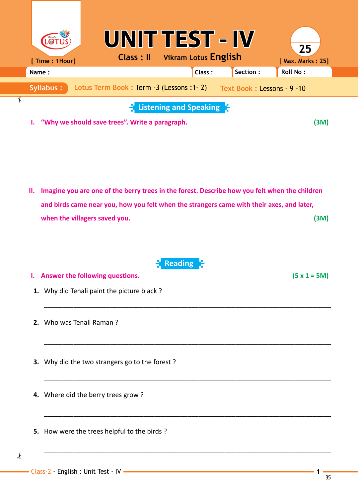| [ Time : 1Hour]                     | UNIT TEST - IV<br><b>Class: II</b> Vikram Lotus English                                                                                                                                    |                        |        |                             | 25<br>[ Max. Marks: 25] |  |  |
|-------------------------------------|--------------------------------------------------------------------------------------------------------------------------------------------------------------------------------------------|------------------------|--------|-----------------------------|-------------------------|--|--|
| Name:                               |                                                                                                                                                                                            |                        | Class: | Section:                    | <b>Roll No:</b>         |  |  |
| <b>Syllabus:</b>                    | Lotus Term Book: Term -3 (Lessons: 1-2)                                                                                                                                                    |                        |        | Text Book : Lessons - 9 -10 |                         |  |  |
| Ъ.                                  | "Why we should save trees". Write a paragraph.                                                                                                                                             | Listening and Speaking |        |                             | (M)                     |  |  |
| н.<br>when the villagers saved you. | Imagine you are one of the berry trees in the forest. Describe how you felt when the children<br>and birds came near you, how you felt when the strangers came with their axes, and later, |                        |        |                             | (M)                     |  |  |
| ъ.                                  | Answer the following questions.<br>1. Why did Tenali paint the picture black?                                                                                                              | <b>Reading</b>         |        |                             | $(5 \times 1 = 5M)$     |  |  |
| 2. Who was Tenali Raman?            |                                                                                                                                                                                            |                        |        |                             |                         |  |  |
|                                     | 3. Why did the two strangers go to the forest?                                                                                                                                             |                        |        |                             |                         |  |  |
| 4. Where did the berry trees grow?  |                                                                                                                                                                                            |                        |        |                             |                         |  |  |
|                                     | 5. How were the trees helpful to the birds?                                                                                                                                                |                        |        |                             |                         |  |  |
|                                     |                                                                                                                                                                                            |                        |        |                             |                         |  |  |